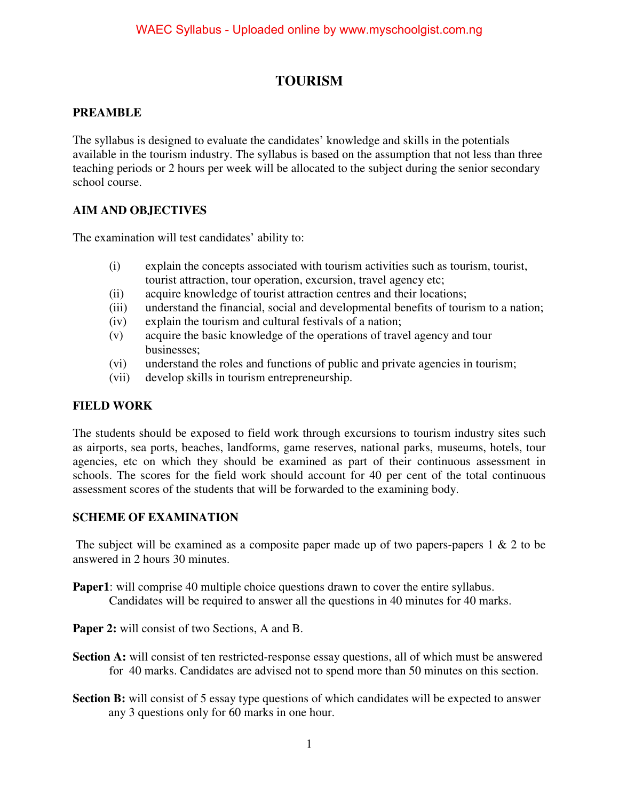## **TOURISM**

#### **PREAMBLE**

The syllabus is designed to evaluate the candidates' knowledge and skills in the potentials available in the tourism industry. The syllabus is based on the assumption that not less than three teaching periods or 2 hours per week will be allocated to the subject during the senior secondary school course.

#### **AIM AND OBJECTIVES**

The examination will test candidates' ability to:

- (i) explain the concepts associated with tourism activities such as tourism, tourist, tourist attraction, tour operation, excursion, travel agency etc;
- (ii) acquire knowledge of tourist attraction centres and their locations;
- (iii) understand the financial, social and developmental benefits of tourism to a nation;
- (iv) explain the tourism and cultural festivals of a nation;
- (v) acquire the basic knowledge of the operations of travel agency and tour businesses;
- (vi) understand the roles and functions of public and private agencies in tourism;
- (vii) develop skills in tourism entrepreneurship.

#### **FIELD WORK**

The students should be exposed to field work through excursions to tourism industry sites such as airports, sea ports, beaches, landforms, game reserves, national parks, museums, hotels, tour agencies, etc on which they should be examined as part of their continuous assessment in schools. The scores for the field work should account for 40 per cent of the total continuous assessment scores of the students that will be forwarded to the examining body.

#### **SCHEME OF EXAMINATION**

The subject will be examined as a composite paper made up of two papers-papers 1 & 2 to be answered in 2 hours 30 minutes.

- **Paper1**: will comprise 40 multiple choice questions drawn to cover the entire syllabus. Candidates will be required to answer all the questions in 40 minutes for 40 marks.
- Paper 2: will consist of two Sections, A and B.
- **Section A:** will consist of ten restricted-response essay questions, all of which must be answered for 40 marks. Candidates are advised not to spend more than 50 minutes on this section.
- **Section B:** will consist of 5 essay type questions of which candidates will be expected to answer any 3 questions only for 60 marks in one hour.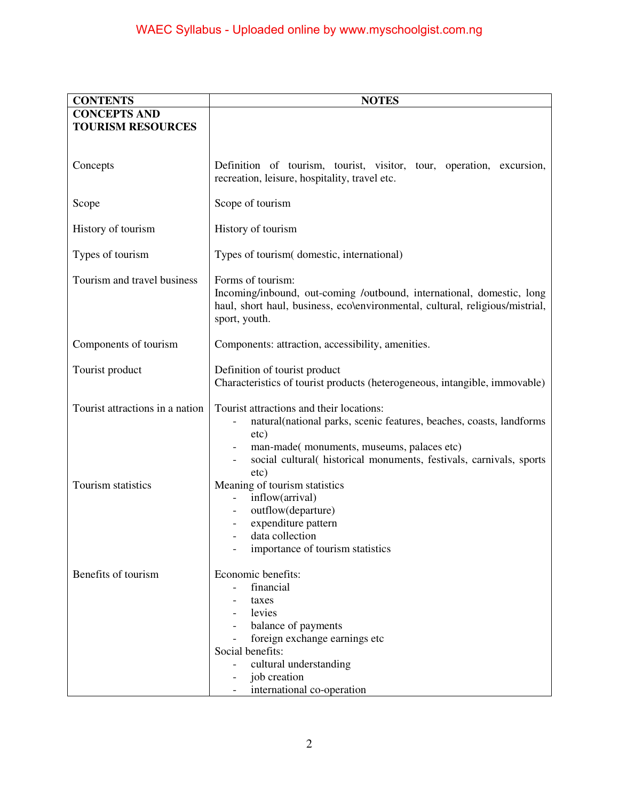| <b>CONTENTS</b>                 | <b>NOTES</b>                                                                                                                                                                                                                                 |
|---------------------------------|----------------------------------------------------------------------------------------------------------------------------------------------------------------------------------------------------------------------------------------------|
| <b>CONCEPTS AND</b>             |                                                                                                                                                                                                                                              |
| <b>TOURISM RESOURCES</b>        |                                                                                                                                                                                                                                              |
|                                 |                                                                                                                                                                                                                                              |
| Concepts                        | Definition of tourism, tourist, visitor, tour, operation, excursion,<br>recreation, leisure, hospitality, travel etc.                                                                                                                        |
| Scope                           | Scope of tourism                                                                                                                                                                                                                             |
| History of tourism              | History of tourism                                                                                                                                                                                                                           |
| Types of tourism                | Types of tourism(domestic, international)                                                                                                                                                                                                    |
| Tourism and travel business     | Forms of tourism:<br>Incoming/inbound, out-coming /outbound, international, domestic, long<br>haul, short haul, business, eco\environmental, cultural, religious/mistrial,<br>sport, youth.                                                  |
| Components of tourism           | Components: attraction, accessibility, amenities.                                                                                                                                                                                            |
| Tourist product                 | Definition of tourist product<br>Characteristics of tourist products (heterogeneous, intangible, immovable)                                                                                                                                  |
| Tourist attractions in a nation | Tourist attractions and their locations:<br>natural(national parks, scenic features, beaches, coasts, landforms<br>etc)<br>man-made( monuments, museums, palaces etc)<br>social cultural( historical monuments, festivals, carnivals, sports |
| Tourism statistics              | etc)<br>Meaning of tourism statistics<br>inflow(arrival)<br>outflow(departure)<br>expenditure pattern<br>data collection<br>importance of tourism statistics                                                                                 |
| Benefits of tourism             | Economic benefits:<br>financial<br>taxes<br>levies<br>balance of payments<br>foreign exchange earnings etc<br>Social benefits:<br>cultural understanding<br>job creation<br>international co-operation                                       |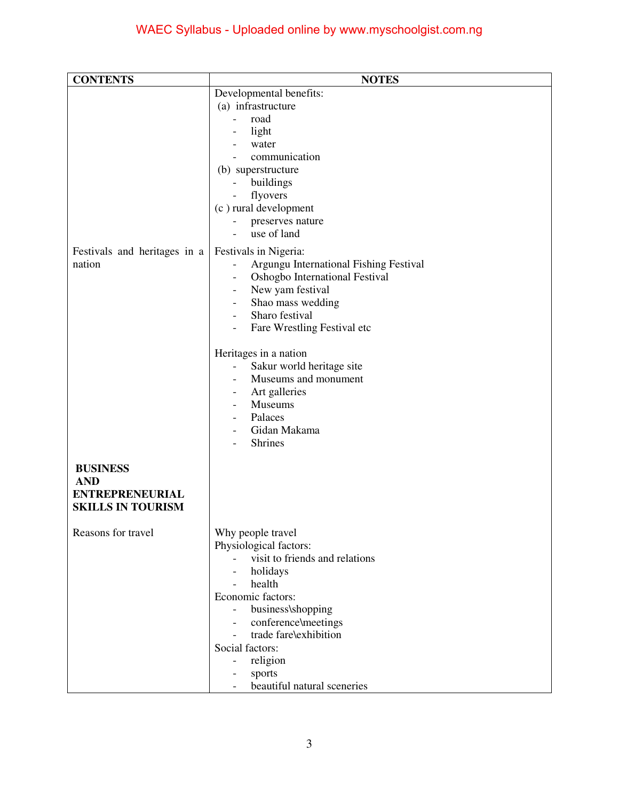| <b>CONTENTS</b>               | <b>NOTES</b>                                                                   |
|-------------------------------|--------------------------------------------------------------------------------|
|                               | Developmental benefits:                                                        |
|                               | (a) infrastructure                                                             |
|                               | road                                                                           |
|                               | light<br>water                                                                 |
|                               | communication                                                                  |
|                               | (b) superstructure                                                             |
|                               | buildings                                                                      |
|                               | flyovers<br>$\overline{\phantom{a}}$                                           |
|                               | (c) rural development                                                          |
|                               | preserves nature                                                               |
|                               | use of land                                                                    |
| Festivals and heritages in a  | Festivals in Nigeria:                                                          |
| nation                        | Argungu International Fishing Festival                                         |
|                               | Oshogbo International Festival<br>New yam festival<br>$\overline{\phantom{a}}$ |
|                               | Shao mass wedding<br>$\overline{\phantom{a}}$                                  |
|                               | Sharo festival<br>$\overline{\phantom{a}}$                                     |
|                               | Fare Wrestling Festival etc<br>$\overline{\phantom{a}}$                        |
|                               |                                                                                |
|                               | Heritages in a nation                                                          |
|                               | Sakur world heritage site                                                      |
|                               | Museums and monument<br>Art galleries                                          |
|                               | Museums                                                                        |
|                               | Palaces                                                                        |
|                               | Gidan Makama                                                                   |
|                               | <b>Shrines</b>                                                                 |
|                               |                                                                                |
| <b>BUSINESS</b><br><b>AND</b> |                                                                                |
| <b>ENTREPRENEURIAL</b>        |                                                                                |
| <b>SKILLS IN TOURISM</b>      |                                                                                |
|                               |                                                                                |
| Reasons for travel            | Why people travel                                                              |
|                               | Physiological factors:                                                         |
|                               | visit to friends and relations                                                 |
|                               | holidays<br>$\overline{\phantom{a}}$<br>health<br>$\equiv$                     |
|                               | Economic factors:                                                              |
|                               | business\shopping                                                              |
|                               | conference\meetings<br>$\overline{\phantom{a}}$                                |
|                               | trade fare\exhibition                                                          |
|                               | Social factors:                                                                |
|                               | religion<br>$\overline{\phantom{a}}$                                           |
|                               | sports<br>beautiful natural sceneries                                          |
|                               |                                                                                |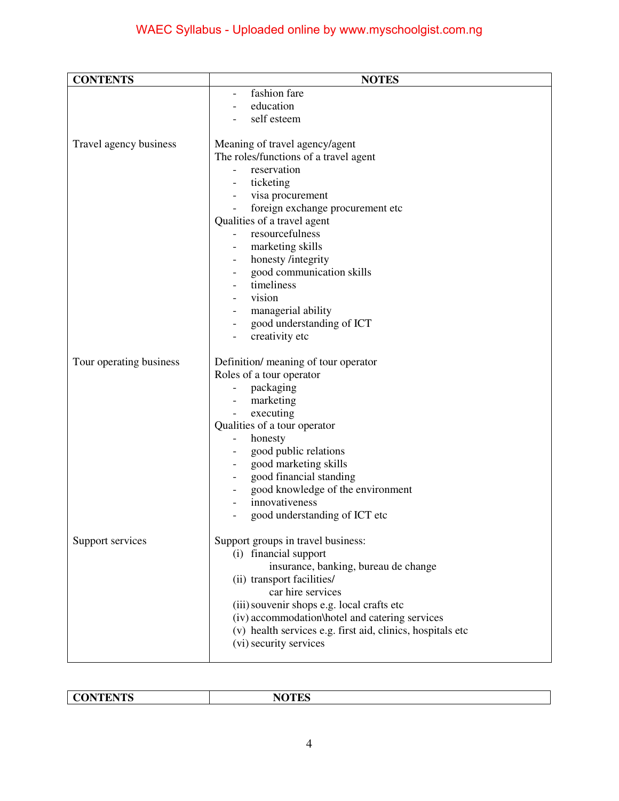# WAEC Syllabus - Uploaded online by www.myschoolgist.com.ng

| <b>CONTENTS</b>         | <b>NOTES</b>                                               |
|-------------------------|------------------------------------------------------------|
|                         | fashion fare                                               |
|                         | education                                                  |
|                         | self esteem                                                |
| Travel agency business  | Meaning of travel agency/agent                             |
|                         | The roles/functions of a travel agent                      |
|                         | reservation                                                |
|                         | ticketing                                                  |
|                         | visa procurement                                           |
|                         | foreign exchange procurement etc                           |
|                         | Qualities of a travel agent                                |
|                         | resourcefulness                                            |
|                         | marketing skills                                           |
|                         | honesty /integrity                                         |
|                         | good communication skills                                  |
|                         | timeliness                                                 |
|                         | vision                                                     |
|                         | managerial ability                                         |
|                         | good understanding of ICT                                  |
|                         | creativity etc                                             |
| Tour operating business | Definition/ meaning of tour operator                       |
|                         | Roles of a tour operator                                   |
|                         | packaging                                                  |
|                         | marketing                                                  |
|                         | executing                                                  |
|                         | Qualities of a tour operator                               |
|                         | honesty                                                    |
|                         | good public relations                                      |
|                         | good marketing skills                                      |
|                         | good financial standing                                    |
|                         | good knowledge of the environment                          |
|                         | innovativeness                                             |
|                         | good understanding of ICT etc                              |
| Support services        | Support groups in travel business:                         |
|                         | (i) financial support                                      |
|                         | insurance, banking, bureau de change                       |
|                         | (ii) transport facilities/                                 |
|                         | car hire services                                          |
|                         | (iii) souvenir shops e.g. local crafts etc                 |
|                         | (iv) accommodation\hotel and catering services             |
|                         | (v) health services e.g. first aid, clinics, hospitals etc |
|                         | (vi) security services                                     |
|                         |                                                            |

| <b>TURNITE</b><br><b>IN</b><br>-- | <b>NOTES</b><br>TЛ |
|-----------------------------------|--------------------|
|                                   |                    |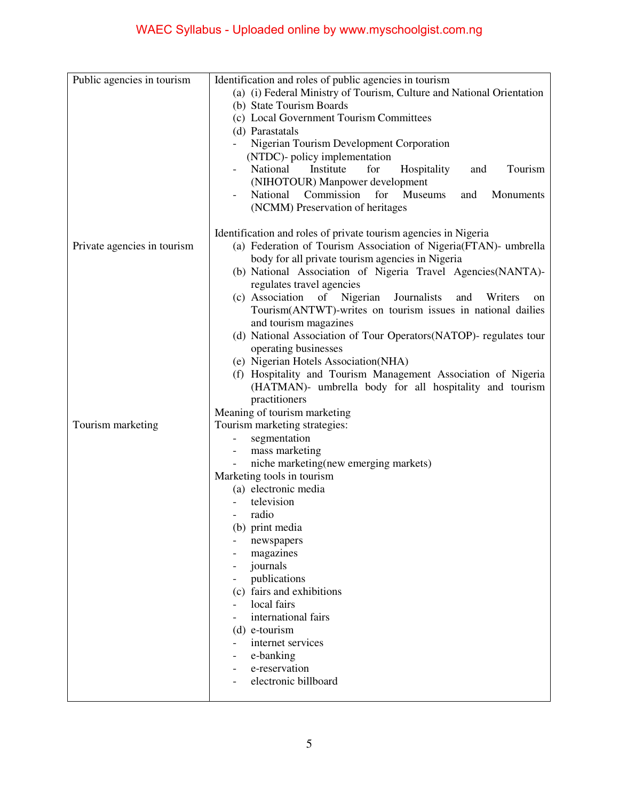| Public agencies in tourism  | Identification and roles of public agencies in tourism                                                          |
|-----------------------------|-----------------------------------------------------------------------------------------------------------------|
|                             | (a) (i) Federal Ministry of Tourism, Culture and National Orientation                                           |
|                             | (b) State Tourism Boards                                                                                        |
|                             | (c) Local Government Tourism Committees                                                                         |
|                             | (d) Parastatals                                                                                                 |
|                             | Nigerian Tourism Development Corporation                                                                        |
|                             | (NTDC)- policy implementation                                                                                   |
|                             | National<br>Institute<br>for<br>Hospitality<br>Tourism<br>and                                                   |
|                             | (NIHOTOUR) Manpower development                                                                                 |
|                             | Commission<br>for<br>National<br><b>Museums</b><br>and<br>Monuments                                             |
|                             | (NCMM) Preservation of heritages                                                                                |
|                             |                                                                                                                 |
|                             | Identification and roles of private tourism agencies in Nigeria                                                 |
| Private agencies in tourism | (a) Federation of Tourism Association of Nigeria(FTAN)- umbrella                                                |
|                             | body for all private tourism agencies in Nigeria<br>(b) National Association of Nigeria Travel Agencies(NANTA)- |
|                             | regulates travel agencies                                                                                       |
|                             | (c) Association of Nigerian<br>Journalists<br>Writers<br>and<br>on                                              |
|                             | Tourism(ANTWT)-writes on tourism issues in national dailies                                                     |
|                             | and tourism magazines                                                                                           |
|                             | (d) National Association of Tour Operators (NATOP)- regulates tour                                              |
|                             | operating businesses                                                                                            |
|                             | (e) Nigerian Hotels Association(NHA)                                                                            |
|                             | (f) Hospitality and Tourism Management Association of Nigeria                                                   |
|                             | (HATMAN)- umbrella body for all hospitality and tourism                                                         |
|                             | practitioners                                                                                                   |
|                             | Meaning of tourism marketing                                                                                    |
| Tourism marketing           | Tourism marketing strategies:                                                                                   |
|                             | segmentation                                                                                                    |
|                             | mass marketing<br>$\overline{\phantom{a}}$                                                                      |
|                             | niche marketing(new emerging markets)                                                                           |
|                             | Marketing tools in tourism                                                                                      |
|                             | (a) electronic media                                                                                            |
|                             | television                                                                                                      |
|                             | radio                                                                                                           |
|                             | (b) print media                                                                                                 |
|                             | newspapers                                                                                                      |
|                             | magazines                                                                                                       |
|                             | journals                                                                                                        |
|                             | publications                                                                                                    |
|                             | (c) fairs and exhibitions                                                                                       |
|                             | local fairs                                                                                                     |
|                             | international fairs                                                                                             |
|                             | (d) e-tourism                                                                                                   |
|                             | internet services                                                                                               |
|                             | e-banking                                                                                                       |
|                             | e-reservation                                                                                                   |
|                             | electronic billboard                                                                                            |
|                             |                                                                                                                 |